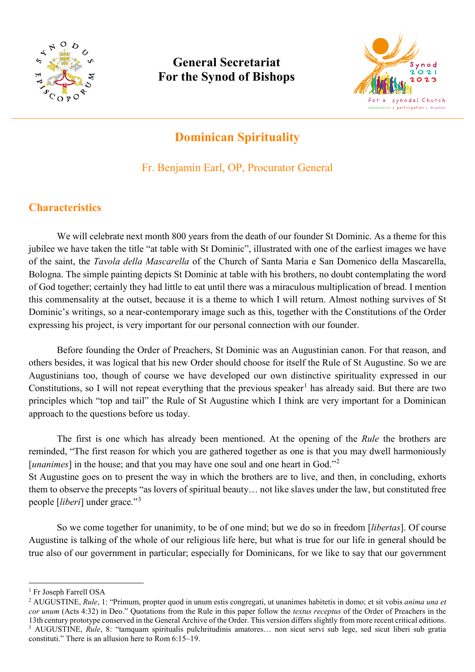

# **General Secretariat For the Synod of Bishops**



## **Dominican Spirituality**

Fr. Benjamin Earl, OP, Procurator General

## **Characteristics**

We will celebrate next month 800 years from the death of our founder St Dominic. As a theme for this jubilee we have taken the title "at table with St Dominic", illustrated with one of the earliest images we have of the saint, the *Tavola della Mascarella* of the Church of Santa Maria e San Domenico della Mascarella, Bologna. The simple painting depicts St Dominic at table with his brothers, no doubt contemplating the word of God together; certainly they had little to eat until there was a miraculous multiplication of bread. I mention this commensality at the outset, because it is a theme to which I will return. Almost nothing survives of St Dominic's writings, so a near-contemporary image such as this, together with the Constitutions of the Order expressing his project, is very important for our personal connection with our founder.

Before founding the Order of Preachers, St Dominic was an Augustinian canon. For that reason, and others besides, it was logical that his new Order should choose for itself the Rule of St Augustine. So we are Augustinians too, though of course we have developed our own distinctive spirituality expressed in our Constitutions, so I will not repeat everything that the previous speaker<sup>[1](#page-0-0)</sup> has already said. But there are two principles which "top and tail" the Rule of St Augustine which I think are very important for a Dominican approach to the questions before us today.

The first is one which has already been mentioned. At the opening of the *Rule* the brothers are reminded, "The first reason for which you are gathered together as one is that you may dwell harmoniously [*unanimes*] in the house; and that you may have one soul and one heart in God."<sup>[2](#page-0-1)</sup>

St Augustine goes on to present the way in which the brothers are to live, and then, in concluding, exhorts them to observe the precepts "as lovers of spiritual beauty… not like slaves under the law, but constituted free people [*liberi*] under grace."[3](#page-0-2)

So we come together for unanimity, to be of one mind; but we do so in freedom [*libertas*]. Of course Augustine is talking of the whole of our religious life here, but what is true for our life in general should be true also of our government in particular; especially for Dominicans, for we like to say that our government

<u>.</u>

<span id="page-0-0"></span><sup>&</sup>lt;sup>1</sup> Fr Joseph Farrell OSA

<span id="page-0-2"></span><span id="page-0-1"></span><sup>2</sup> AUGUSTINE, *Rule*, 1: "Primum, propter quod in unum estis congregati, ut unanimes habitetis in domo; et sit vobis *anima una et cor unum* (Acts 4:32) in Deo." Quotations from the Rule in this paper follow the *textus receptus* of the Order of Preachers in the 13th century prototype conserved in the General Archive of the Order. This version differs slightly from more recent critical editions. <sup>3</sup> AUGUSTINE, *Rule*, 8: "tamquam spiritualis pulchritudinis amatores… non sicut servi sub lege, sed sicut liberi sub gratia constituti." There is an allusion here to Rom 6:15–19.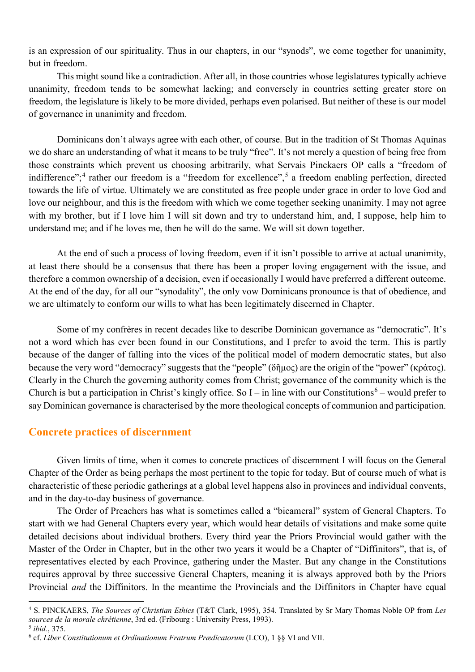is an expression of our spirituality. Thus in our chapters, in our "synods", we come together for unanimity, but in freedom.

This might sound like a contradiction. After all, in those countries whose legislatures typically achieve unanimity, freedom tends to be somewhat lacking; and conversely in countries setting greater store on freedom, the legislature is likely to be more divided, perhaps even polarised. But neither of these is our model of governance in unanimity and freedom.

Dominicans don't always agree with each other, of course. But in the tradition of St Thomas Aquinas we do share an understanding of what it means to be truly "free". It's not merely a question of being free from those constraints which prevent us choosing arbitrarily, what Servais Pinckaers OP calls a "freedom of indifference";<sup>[4](#page-1-0)</sup> rather our freedom is a "freedom for excellence",<sup>[5](#page-1-1)</sup> a freedom enabling perfection, directed towards the life of virtue. Ultimately we are constituted as free people under grace in order to love God and love our neighbour, and this is the freedom with which we come together seeking unanimity. I may not agree with my brother, but if I love him I will sit down and try to understand him, and, I suppose, help him to understand me; and if he loves me, then he will do the same. We will sit down together.

At the end of such a process of loving freedom, even if it isn't possible to arrive at actual unanimity, at least there should be a consensus that there has been a proper loving engagement with the issue, and therefore a common ownership of a decision, even if occasionally I would have preferred a different outcome. At the end of the day, for all our "synodality", the only vow Dominicans pronounce is that of obedience, and we are ultimately to conform our wills to what has been legitimately discerned in Chapter.

Some of my confrères in recent decades like to describe Dominican governance as "democratic". It's not a word which has ever been found in our Constitutions, and I prefer to avoid the term. This is partly because of the danger of falling into the vices of the political model of modern democratic states, but also because the very word "democracy" suggests that the "people" (δῆμος) are the origin of the "power" (κράτος). Clearly in the Church the governing authority comes from Christ; governance of the community which is the Church is but a participation in Christ's kingly office. So  $I$  – in line with our Constitutions<sup>[6](#page-1-2)</sup> – would prefer to say Dominican governance is characterised by the more theological concepts of communion and participation.

### **Concrete practices of discernment**

Given limits of time, when it comes to concrete practices of discernment I will focus on the General Chapter of the Order as being perhaps the most pertinent to the topic for today. But of course much of what is characteristic of these periodic gatherings at a global level happens also in provinces and individual convents, and in the day-to-day business of governance.

The Order of Preachers has what is sometimes called a "bicameral" system of General Chapters. To start with we had General Chapters every year, which would hear details of visitations and make some quite detailed decisions about individual brothers. Every third year the Priors Provincial would gather with the Master of the Order in Chapter, but in the other two years it would be a Chapter of "Diffinitors", that is, of representatives elected by each Province, gathering under the Master. But any change in the Constitutions requires approval by three successive General Chapters, meaning it is always approved both by the Priors Provincial *and* the Diffinitors. In the meantime the Provincials and the Diffinitors in Chapter have equal

 $\overline{a}$ 

<span id="page-1-0"></span><sup>4</sup> S. PINCKAERS, *The Sources of Christian Ethics* (T&T Clark, 1995), 354. Translated by Sr Mary Thomas Noble OP from *Les sources de la morale chrétienne*, 3rd ed. (Fribourg : University Press, 1993).

<span id="page-1-1"></span><sup>5</sup> *ibid.*, 375.

<span id="page-1-2"></span><sup>6</sup> cf. *Liber Constitutionum et Ordinationum Fratrum Prædicatorum* (LCO), 1 §§ VI and VII.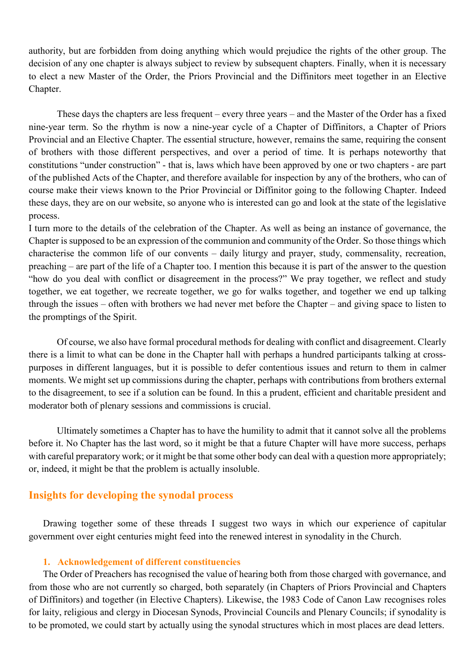authority, but are forbidden from doing anything which would prejudice the rights of the other group. The decision of any one chapter is always subject to review by subsequent chapters. Finally, when it is necessary to elect a new Master of the Order, the Priors Provincial and the Diffinitors meet together in an Elective Chapter.

These days the chapters are less frequent – every three years – and the Master of the Order has a fixed nine-year term. So the rhythm is now a nine-year cycle of a Chapter of Diffinitors, a Chapter of Priors Provincial and an Elective Chapter. The essential structure, however, remains the same, requiring the consent of brothers with those different perspectives, and over a period of time. It is perhaps noteworthy that constitutions "under construction" - that is, laws which have been approved by one or two chapters - are part of the published Acts of the Chapter, and therefore available for inspection by any of the brothers, who can of course make their views known to the Prior Provincial or Diffinitor going to the following Chapter. Indeed these days, they are on our website, so anyone who is interested can go and look at the state of the legislative process.

I turn more to the details of the celebration of the Chapter. As well as being an instance of governance, the Chapter is supposed to be an expression of the communion and community of the Order. So those things which characterise the common life of our convents – daily liturgy and prayer, study, commensality, recreation, preaching – are part of the life of a Chapter too. I mention this because it is part of the answer to the question "how do you deal with conflict or disagreement in the process?" We pray together, we reflect and study together, we eat together, we recreate together, we go for walks together, and together we end up talking through the issues – often with brothers we had never met before the Chapter – and giving space to listen to the promptings of the Spirit.

Of course, we also have formal procedural methods for dealing with conflict and disagreement. Clearly there is a limit to what can be done in the Chapter hall with perhaps a hundred participants talking at crosspurposes in different languages, but it is possible to defer contentious issues and return to them in calmer moments. We might set up commissions during the chapter, perhaps with contributions from brothers external to the disagreement, to see if a solution can be found. In this a prudent, efficient and charitable president and moderator both of plenary sessions and commissions is crucial.

Ultimately sometimes a Chapter has to have the humility to admit that it cannot solve all the problems before it. No Chapter has the last word, so it might be that a future Chapter will have more success, perhaps with careful preparatory work; or it might be that some other body can deal with a question more appropriately; or, indeed, it might be that the problem is actually insoluble.

### **Insights for developing the synodal process**

Drawing together some of these threads I suggest two ways in which our experience of capitular government over eight centuries might feed into the renewed interest in synodality in the Church.

#### **1. Acknowledgement of different constituencies**

The Order of Preachers has recognised the value of hearing both from those charged with governance, and from those who are not currently so charged, both separately (in Chapters of Priors Provincial and Chapters of Diffinitors) and together (in Elective Chapters). Likewise, the 1983 Code of Canon Law recognises roles for laity, religious and clergy in Diocesan Synods, Provincial Councils and Plenary Councils; if synodality is to be promoted, we could start by actually using the synodal structures which in most places are dead letters.